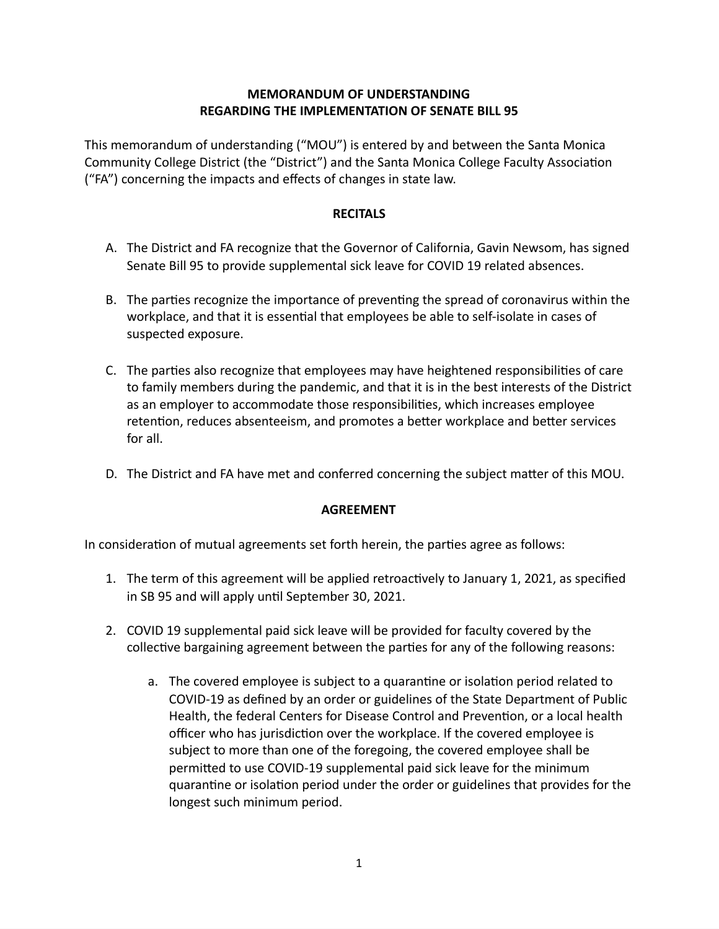## **MEMORANDUM OF UNDERSTANDING REGARDING THE IMPLEMENTATION OF SENATE BILL 95**

This memorandum of understanding ("MOU") is entered by and between the Santa Monica Community College District (the "District") and the Santa Monica College Faculty Association ("FA") concerning the impacts and effects of changes in state law.

## **RECITALS**

- A. The District and FA recognize that the Governor of California, Gavin Newsom, has signed Senate Bill 95 to provide supplemental sick leave for COVID 19 related absences.
- B. The parties recognize the importance of preventing the spread of coronavirus within the workplace, and that it is essential that employees be able to self-isolate in cases of suspected exposure.
- C. The parties also recognize that employees may have heightened responsibilities of care to family members during the pandemic, and that it is in the best interests of the District as an employer to accommodate those responsibilities, which increases employee retention, reduces absenteeism, and promotes a better workplace and better services for all.
- D. The District and FA have met and conferred concerning the subject matter of this MOU.

## **AGREEMENT**

In consideration of mutual agreements set forth herein, the parties agree as follows:

- 1. The term of this agreement will be applied retroactively to January 1, 2021, as specified in SB 95 and will apply until September 30, 2021.
- 2. COVID 19 supplemental paid sick leave will be provided for faculty covered by the collective bargaining agreement between the parties for any of the following reasons:
	- a. The covered employee is subject to a quarantine or isolation period related to COVID-19 as defined by an order or guidelines of the State Department of Public Health, the federal Centers for Disease Control and Prevention, or a local health officer who has jurisdiction over the workplace. If the covered employee is subject to more than one of the foregoing, the covered employee shall be permitted to use COVID-19 supplemental paid sick leave for the minimum quarantine or isolation period under the order or guidelines that provides for the longest such minimum period.